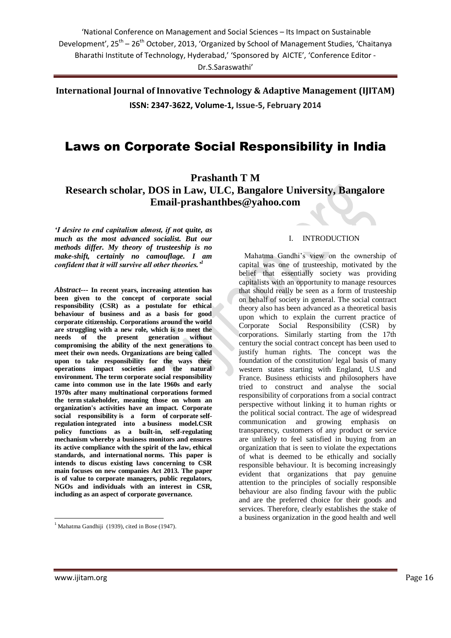**International Journal of Innovative Technology & Adaptive Management (IJITAM) ISSN: 2347-3622, Volume-1, Issue-5, February 2014**

# Laws on Corporate Social Responsibility in India

**Prashanth T M**

### **Research scholar, DOS in Law, ULC, Bangalore University, Bangalore [Email-prashanthbes@yahoo.com](mailto:Email-prashanthbes@yahoo.com)**

*'I desire to end capitalism almost, if not quite, as much as the most advanced socialist. But our methods differ. My theory of trusteeship is no make-shift, certainly no camouflage. I am confident that it will survive all other theories.'<sup>1</sup>*

*Abstract---* **In recent years, increasing attention has been given to the concept of corporate social responsibility (CSR) as a postulate for ethical behaviour of business and as a basis for good corporate citizenship. Corporations around the world are struggling with a new role, which is to meet the needs of the present generation without compromising the ability of the next generations to meet their own needs. Organizations are being called upon to take responsibility for the ways their operations impact societies and the natural environment. The term corporate social responsibility came into common use in the late 1960s and early 1970s after many multinational corporations formed the term [stakeholder,](http://en.wikipedia.org/wiki/Stakeholder_(corporate)) meaning those on whom an organization's activities have an impact. Corporate social responsibility is a form of [corporate](http://en.wikipedia.org/wiki/Corporate) [self](http://en.wikipedia.org/wiki/Self-policing)[regulation](http://en.wikipedia.org/wiki/Self-policing) integrated into a [business model.](http://en.wikipedia.org/wiki/Business_model)CSR policy functions as a built-in, self-regulating mechanism whereby a business monitors and ensures its active compliance with the spirit of the law, ethical standards, and international [norms.](http://en.wikipedia.org/wiki/Norm_(sociology)) This paper is intends to discus existing laws concerning to CSR main focuses on new companies Act 2013. The paper is of value to corporate managers, public regulators, NGOs and individuals with an interest in CSR, including as an aspect of corporate governance.**

#### I. INTRODUCTION

 Mahatma Gandhi"s view on the ownership of capital was one of trusteeship, motivated by the belief that essentially society was providing capitalists with an opportunity to manage resources that should really be seen as a form of trusteeship on behalf of society in general. The social contract theory also has been advanced as a theoretical basis upon which to explain the current practice of Corporate Social Responsibility (CSR) by corporations. Similarly starting from the 17th century the social contract concept has been used to justify human rights. The concept was the foundation of the constitution/ legal basis of many western states starting with England, U.S and France. Business ethicists and philosophers have tried to construct and analyse the social responsibility of corporations from a social contract perspective without linking it to human rights or the political social contract. The age of widespread communication and growing emphasis on transparency, customers of any product or service are unlikely to feel satisfied in buying from an organization that is seen to violate the expectations of what is deemed to be ethically and socially responsible behaviour. It is becoming increasingly evident that organizations that pay genuine attention to the principles of socially responsible behaviour are also finding favour with the public and are the preferred choice for their goods and services. Therefore, clearly establishes the stake of a business organization in the good health and well

1

 $<sup>1</sup>$  Mahatma Gandhiji (1939), cited in Bose (1947).</sup>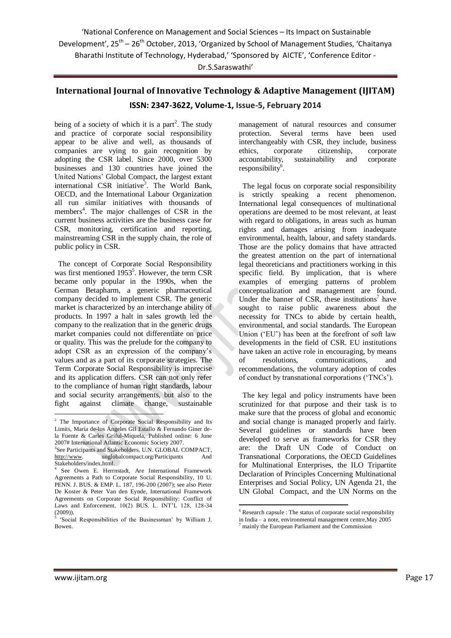'National Conference on Management and Social Sciences – Its Impact on Sustainable Development', 25<sup>th</sup> - 26<sup>th</sup> October, 2013, 'Organized by School of Management Studies, 'Chaitanya Bharathi Institute of Technology, Hyderabad,' 'Sponsored by AICTE', 'Conference Editor -

### Dr.S.Saraswathi'

# **International Journal of Innovative Technology & Adaptive Management (IJITAM) ISSN: 2347-3622, Volume-1, Issue-5, February 2014**

being of a society of which it is a part<sup>2</sup>. The study and practice of corporate social responsibility appear to be alive and well, as thousands of companies are vying to gain recognition by adopting the CSR label. Since 2000, over 5300 businesses and 130 countries have joined the United Nations" Global Compact, the largest extant international CSR initiative<sup>3</sup>. The World Bank, OECD, and the International Labour Organization all run similar initiatives with thousands of members<sup>4</sup>. The major challenges of CSR in the current business activities are the business case for CSR, monitoring, certification and reporting, mainstreaming CSR in the supply chain, the role of public policy in CSR.

 The concept of Corporate Social Responsibility was first mentioned 1953<sup>5</sup>. However, the term CSR became only popular in the 1990s, when the German Betapharm, a generic pharmaceutical company decided to implement CSR. The generic market is characterized by an interchange ability of products. In 1997 a halt in sales growth led the company to the realization that in the generic drugs market companies could not differentiate on price or quality. This was the prelude for the company to adopt CSR as an expression of the company"s values and as a part of its corporate strategies. The Term Corporate Social Responsibility is imprecise and its application differs. CSR can not only refer to the compliance of human right standards, labour and social security arrangements, but also to the fight against climate change, sustainable

management of natural resources and consumer protection. Several terms have been used interchangeably with CSR, they include, business ethics, corporate citizenship, corporate accountability, sustainability and corporate responsibility<sup>6</sup>.

 The legal focus on corporate social responsibility is strictly speaking a recent phenomenon. International legal consequences of multinational operations are deemed to be most relevant, at least with regard to obligations, in areas such as human rights and damages arising from inadequate environmental, health, labour, and safety standards. Those are the policy domains that have attracted the greatest attention on the part of international legal theoreticians and practitioners working in this specific field. By implication, that is where examples of emerging patterns of problem conceptualization and management are found. Under the banner of CSR, these institutions<sup>7</sup> have sought to raise public awareness about the necessity for TNCs to abide by certain health, environmental, and social standards. The European Union ("EU") has been at the forefront of soft law developments in the field of CSR. EU institutions have taken an active role in encouraging, by means of resolutions, communications, and recommendations, the voluntary adoption of codes of conduct by transnational corporations ("TNCs").

 The key legal and policy instruments have been scrutinized for that purpose and their task is to make sure that the process of global and economic and social change is managed properly and fairly. Several guidelines or standards have been developed to serve as frameworks for CSR they are: the Draft UN Code of Conduct on Transnational Corporations, the OECD Guidelines for Multinational Enterprises, the ILO Tripartite Declaration of Principles Concerning Multinational Enterprises and Social Policy, UN Agenda 21, the UN Global Compact, and the UN Norms on the

**.** 

<sup>1</sup> <sup>2</sup> The Importance of Corporate Social Responsibility and Its Limits, María de-los Ángeles Gil Estallo & Fernando Giner dela Fuente & Carles Gríful-Miquela, Published online: 6 June 2007# International Atlantic Economic Society 2007.

<sup>&</sup>lt;sup>3</sup>See Participants and Stakeholders, U.N. GLOBAL COMPACT, [http://www.](http://www/) unglobalcompact.org/Participants And Stakeholders/index.html.

<sup>4</sup> See Owen E. Herrnstadt, Are International Framework Agreements a Path to Corporate Social Responsibility, 10 U. PENN. J. BUS. & EMP. L. 187, 196-200 (2007); see also Pieter De Koster & Peter Van den Eynde, International Framework Agreements on Corporate Social Responsibility: Conflict of Laws and Enforcement, 10(2) BUS. L. INT"L 128, 128-34  $(2009)$ ).

<sup>&</sup>quot;Social Responsibilities of the Businessman" by William J. Bowen.

<sup>6</sup> Research capsule : The status of corporate social responsibility in India – a note, environmental management centre,May 2005 <sup>7</sup> mainly the European Parliament and the Commission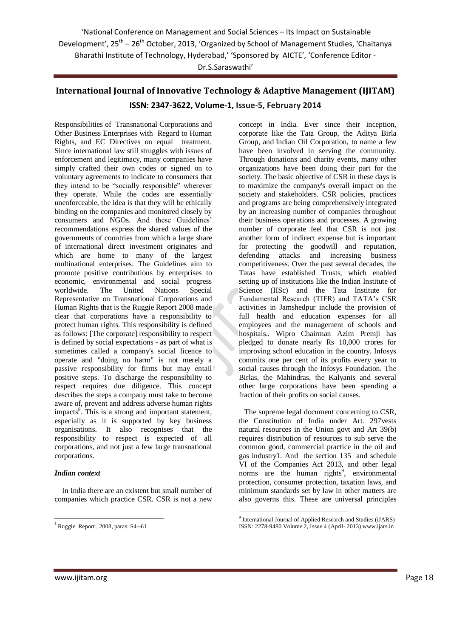'National Conference on Management and Social Sciences – Its Impact on Sustainable Development', 25<sup>th</sup> - 26<sup>th</sup> October, 2013, 'Organized by School of Management Studies, 'Chaitanya Bharathi Institute of Technology, Hyderabad,' 'Sponsored by AICTE', 'Conference Editor - Dr.S.Saraswathi'

## **International Journal of Innovative Technology & Adaptive Management (IJITAM) ISSN: 2347-3622, Volume-1, Issue-5, February 2014**

Responsibilities of Transnational Corporations and Other Business Enterprises with Regard to Human Rights, and EC Directives on equal treatment. Since international law still struggles with issues of enforcement and legitimacy, many companies have simply crafted their own codes or signed on to voluntary agreements to indicate to consumers that they intend to be "socially responsible" wherever they operate. While the codes are essentially unenforceable, the idea is that they will be ethically binding on the companies and monitored closely by consumers and NGOs. And these Guidelines" recommendations express the shared values of the governments of countries from which a large share of international direct investment originates and which are home to many of the largest multinational enterprises. The Guidelines aim to promote positive contributions by enterprises to economic, environmental and social progress worldwide. The United Nations Special Representative on Transnational Corporations and Human Rights that is the Ruggie Report 2008 made clear that corporations have a responsibility to protect human rights. This responsibility is defined as follows: [The corporate] responsibility to respect is defined by social expectations - as part of what is sometimes called a company's social licence to operate and "doing no harm" is not merely a passive responsibility for firms but may entail positive steps. To discharge the responsibility to respect requires due diligence. This concept describes the steps a company must take to become aware of, prevent and address adverse human rights impacts<sup>8</sup>. This is a strong and important statement, especially as it is supported by key business organisations. It also recognises that the responsibility to respect is expected of all corporations, and not just a few large transnational corporations.

#### *Indian context*

 In India there are an existent but small number of companies which practice CSR. CSR is not a new

concept in India. Ever since their inception, corporate like the Tata Group, the Aditya Birla Group, and [Indian Oil Corporation,](http://en.wikipedia.org/wiki/Indian_Oil_Corporation) to name a few have been involved in serving the community. Through donations and charity events, many other organizations have been doing their part for the society. The basic objective of CSR in these days is to maximize the company's overall impact on the society and stakeholders. CSR policies, practices and programs are being comprehensively integrated by an increasing number of companies throughout their business operations and processes. A growing number of corporate feel that CSR is not just another form of indirect expense but is important for protecting the goodwill and reputation, defending attacks and increasing business competitiveness. Over the past several decades, the Tatas have established Trusts, which enabled setting up of institutions like the Indian Institute of Science (IISc) and the Tata Institute for Fundamental Research (TIFR) and TATA"s CSR activities in Jamshedpur include the provision of full health and education expenses for all employees and the management of schools and hospitals.. Wipro Chairman Azim Premji has pledged to donate nearly Rs 10,000 crores for improving school education in the country. Infosys commits one per cent of its profits every year to social causes through the Infosys Foundation. The Birlas, the Mahindras, the Kalyanis and several other large corporations have been spending a fraction of their profits on social causes.

 The supreme legal document concerning to CSR, the Constitution of India under Art. 297vests natural resources in the Union govt and Art 39(b) requires distribution of resources to sub serve the common good, commercial practice in the oil and gas industry1. And the section 135 and schedule VI of the Companies Act 2013, and other legal norms are the human rights<sup>9</sup>, environmental protection, consumer protection, taxation laws, and minimum standards set by law in other matters are also governs this. These are universal principles

**Ruggie Report**, 2008, paras. S4--61

 9 International Journal of Applied Research and Studies (iJARS) ISSN: 2278-9480 Volume 2, Issue 4 (April- 2013) www.ijars.in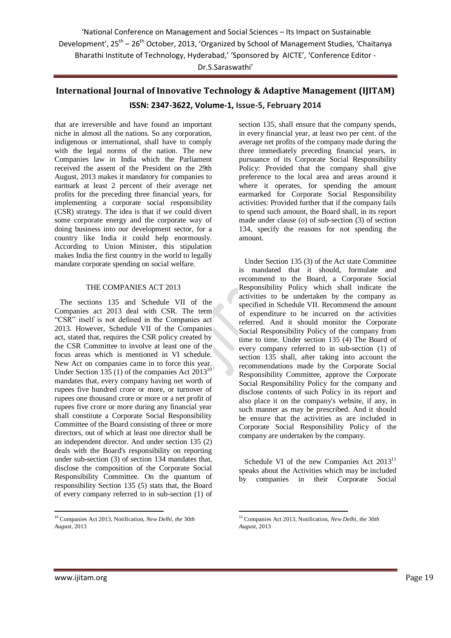'National Conference on Management and Social Sciences – Its Impact on Sustainable Development', 25<sup>th</sup> - 26<sup>th</sup> October, 2013, 'Organized by School of Management Studies, 'Chaitanya Bharathi Institute of Technology, Hyderabad,' 'Sponsored by AICTE', 'Conference Editor - Dr.S.Saraswathi'

### **International Journal of Innovative Technology & Adaptive Management (IJITAM) ISSN: 2347-3622, Volume-1, Issue-5, February 2014**

that are irreversible and have found an important niche in almost all the nations. So any corporation, indigenous or international, shall have to comply with the legal norms of the nation. The new Companies law in India which the Parliament received the assent of the President on the 29th August, 2013 makes it mandatory for companies to earmark at least 2 percent of their average net profits for the preceding three financial years, for implementing a corporate social responsibility (CSR) strategy. The idea is that if we could divert some corporate energy and the corporate way of doing business into our development sector, for a country like India it could help enormously. According to Union Minister, this stipulation makes India the first [country](http://www.thehindu.com/business/companies/new-companies-bill-mandates-csr-spending/article4217872.ece) in the world to legally mandate corporate spending on social welfare.

#### THE COMPANIES ACT 2013

 The sections 135 and Schedule VII of the Companies act 2013 deal with CSR. The term "CSR" itself is not defined in the Companies act 2013. However, Schedule VII of the Companies act, stated that, requires the CSR policy created by the CSR Committee to involve at least one of the focus areas which is mentioned in VI schedule. New Act on companies came in to force this year. Under Section 135 (1) of the companies Act  $2013^{10}$ mandates that, every company having net worth of rupees five hundred crore or more, or turnover of rupees one thousand crore or more or a net profit of rupees five crore or more during any financial year shall constitute a Corporate Social Responsibility Committee of the Board consisting of three or more directors, out of which at least one director shall be an independent director. And under section 135 (2) deals with the Board's responsibility on reporting under sub-section (3) of section 134 mandates that, disclose the composition of the Corporate Social Responsibility Committee. On the quantum of responsibility Section 135 (5) stats that, the Board of every company referred to in sub-section (1) of

section 135, shall ensure that the company spends, in every financial year, at least two per cent. of the average net profits of the company made during the three immediately preceding financial years, in pursuance of its Corporate Social Responsibility Policy: Provided that the company shall give preference to the local area and areas around it where it operates, for spending the amount earmarked for Corporate Social Responsibility activities: Provided further that if the company fails to spend such amount, the Board shall, in its report made under clause (o) of sub-section (3) of section 134, specify the reasons for not spending the amount.

 Under Section 135 (3) of the Act state Committee is mandated that it should, formulate and recommend to the Board, a Corporate Social Responsibility Policy which shall indicate the activities to be undertaken by the company as specified in Schedule VII. Recommend the amount of expenditure to be incurred on the activities referred. And it should monitor the Corporate Social Responsibility Policy of the company from time to time. Under section 135 (4) The Board of every company referred to in sub-section (1) of section 135 shall, after taking into account the recommendations made by the Corporate Social Responsibility Committee, approve the Corporate Social Responsibility Policy for the company and disclose contents of such Policy in its report and also place it on the company's website, if any, in such manner as may be prescribed. And it should be ensure that the activities as are included in Corporate Social Responsibility Policy of the company are undertaken by the company.

Schedule VI of the new Companies Act  $2013<sup>11</sup>$ speaks about the Activities which may be included by companies in their Corporate Social

1

1

<sup>10</sup> Companies Act 2013, Notification, *New Delhi, the* 30*th August,* 2013

<sup>11</sup> Companies Act 2013, Notification, *New Delhi, the* 30*th August,* 2013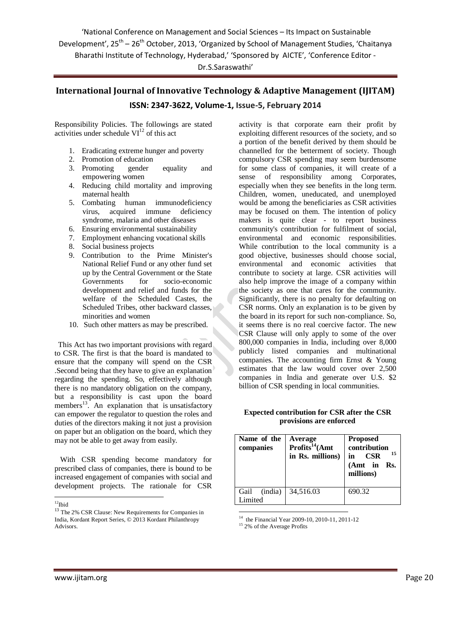'National Conference on Management and Social Sciences – Its Impact on Sustainable Development', 25<sup>th</sup> - 26<sup>th</sup> October, 2013, 'Organized by School of Management Studies, 'Chaitanya Bharathi Institute of Technology, Hyderabad,' 'Sponsored by AICTE', 'Conference Editor -

#### Dr.S.Saraswathi'

# **International Journal of Innovative Technology & Adaptive Management (IJITAM) ISSN: 2347-3622, Volume-1, Issue-5, February 2014**

Responsibility Policies. The followings are stated activities under schedule  $VI<sup>12</sup>$  of this act

- 1. Eradicating extreme hunger and poverty
- 2. Promotion of education
- 3. Promoting gender equality and empowering women
- 4. Reducing child mortality and improving maternal health
- 5. Combating human immunodeficiency virus, acquired immune deficiency syndrome, malaria and other diseases
- 6. Ensuring environmental sustainability
- 7. Employment enhancing vocational skills
- 8. Social business projects
- 9. Contribution to the Prime Minister's National Relief Fund or any other fund set up by the Central Government or the State Governments for socio-economic development and relief and funds for the welfare of the Scheduled Castes, the Scheduled Tribes, other backward classes, minorities and women
- 10. Such other matters as may be prescribed.

 This Act has two important provisions with regard to CSR. The first is that the board is mandated to ensure that the company will spend on the CSR .Second being that they have to give an explanation regarding the spending. So, effectively although there is no mandatory obligation on the company, but a responsibility is cast upon the board members<sup>13</sup>. An explanation that is unsatisfactory can empower the regulator to question the roles and duties of the directors making it not just a provision on paper but an obligation on the board, which they may not be able to get away from easily.

 With CSR spending become mandatory for prescribed class of companies, there is bound to be increased engagement of companies with social and development projects. The rationale for CSR

activity is that corporate earn their profit by exploiting different resources of the society, and so a portion of the benefit derived by them should be channelled for the betterment of society. Though compulsory CSR spending may seem burdensome for some class of companies, it will create of a sense of responsibility among Corporates, especially when they see benefits in the long term. Children, women, uneducated, and unemployed would be among the beneficiaries as CSR activities may be focused on them. The intention of policy makers is quite clear - to report business community's contribution for fulfilment of social, environmental and economic responsibilities. While contribution to the local community is a good objective, businesses should choose social, environmental and economic activities that contribute to society at large. CSR activities will also help improve the image of a company within the society as one that cares for the community. Significantly, there is no penalty for defaulting on CSR norms. Only an explanation is to be given by the board in its report for such non-compliance. So, it seems there is no real coercive factor. The new CSR Clause will only apply to some of the over 800,000 companies in India, including over 8,000 publicly listed companies and multinational companies. The accounting firm Ernst & Young estimates that the law would cover over 2,500 companies in India and generate over U.S. \$2 billion of CSR spending in local communities.

#### **Expected contribution for CSR after the CSR provisions are enforced**

| (india)<br>Gail<br>34,516.03<br>690.32<br>Limited |  |
|---------------------------------------------------|--|

<sup>14</sup> the Financial Year 2009-10, 2010-11, 2011-12

<sup>-</sup> $12$ Ibid

<sup>&</sup>lt;sup>13</sup> The 2% CSR Clause: New Requirements for Companies in India, Kordant Report Series, © 2013 Kordant Philanthropy Advisors.

<sup>&</sup>lt;sup>15</sup> 2% of the Average Profits